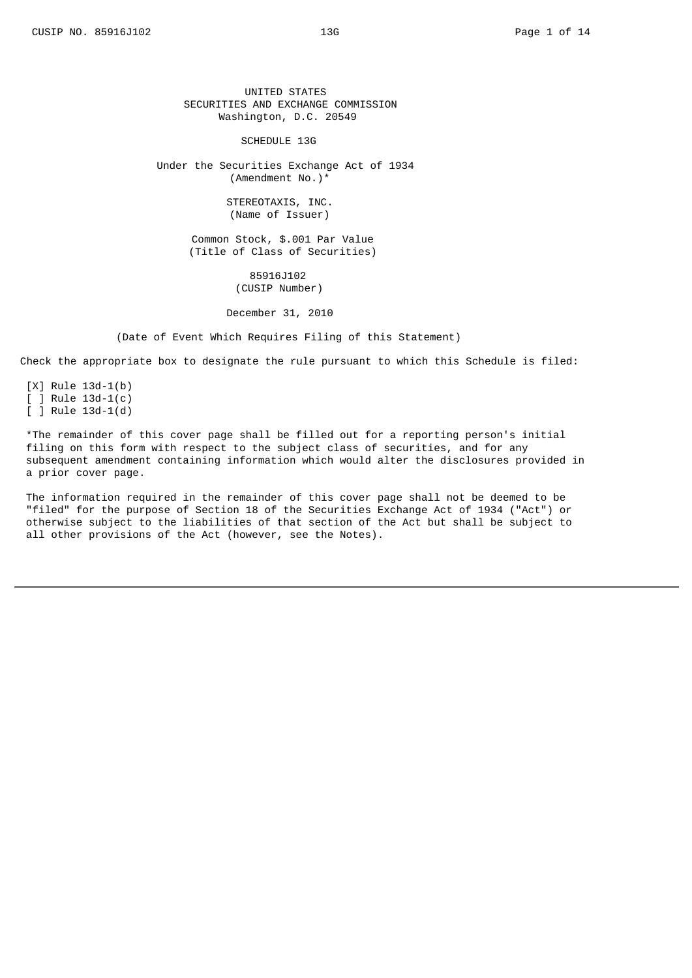UNITED STATES SECURITIES AND EXCHANGE COMMISSION Washington, D.C. 20549

### SCHEDULE 13G

Under the Securities Exchange Act of 1934 (Amendment No.)\*

> STEREOTAXIS, INC. (Name of Issuer)

Common Stock, \$.001 Par Value (Title of Class of Securities)

> 85916J102 (CUSIP Number)

December 31, 2010

(Date of Event Which Requires Filing of this Statement)

Check the appropriate box to designate the rule pursuant to which this Schedule is filed:

[X] Rule 13d-1(b)  $[ ]$  Rule 13d-1(c)  $[ ]$  Rule 13d-1(d)

\*The remainder of this cover page shall be filled out for a reporting person's initial filing on this form with respect to the subject class of securities, and for any subsequent amendment containing information which would alter the disclosures provided in a prior cover page.

The information required in the remainder of this cover page shall not be deemed to be "filed" for the purpose of Section 18 of the Securities Exchange Act of 1934 ("Act") or otherwise subject to the liabilities of that section of the Act but shall be subject to all other provisions of the Act (however, see the Notes).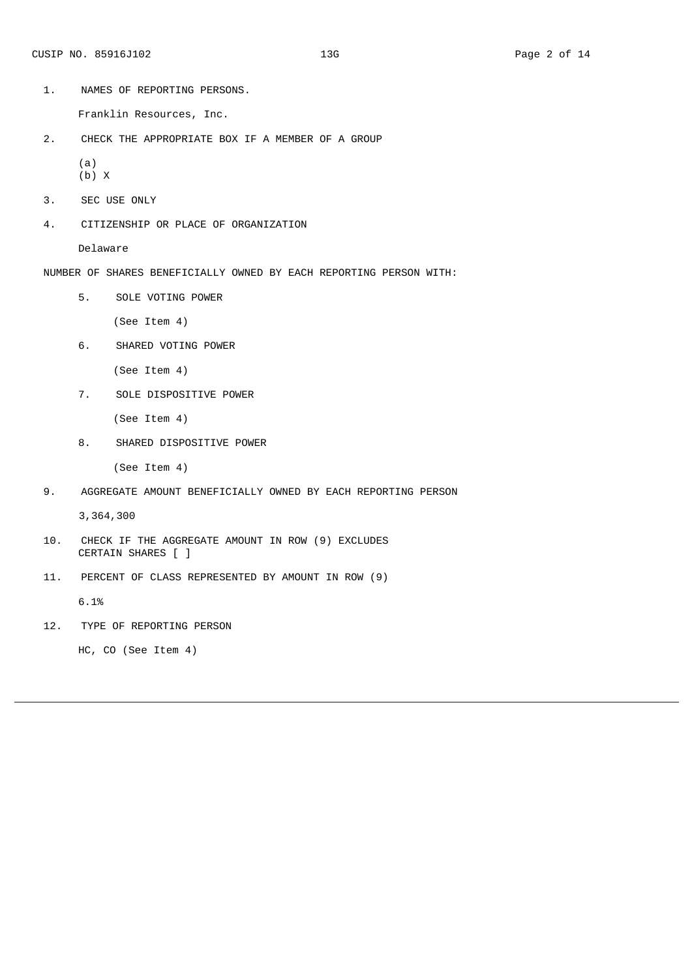Franklin Resources, Inc.

2. CHECK THE APPROPRIATE BOX IF A MEMBER OF A GROUP

(a) (b) X

- 
- 3. SEC USE ONLY
- 4. CITIZENSHIP OR PLACE OF ORGANIZATION

Delaware

- NUMBER OF SHARES BENEFICIALLY OWNED BY EACH REPORTING PERSON WITH:
	- 5. SOLE VOTING POWER

(See Item 4)

6. SHARED VOTING POWER

(See Item 4)

7. SOLE DISPOSITIVE POWER

(See Item 4)

8. SHARED DISPOSITIVE POWER

(See Item 4)

9. AGGREGATE AMOUNT BENEFICIALLY OWNED BY EACH REPORTING PERSON

3,364,300

- 10. CHECK IF THE AGGREGATE AMOUNT IN ROW (9) EXCLUDES CERTAIN SHARES [ ]
- 11. PERCENT OF CLASS REPRESENTED BY AMOUNT IN ROW (9)

6.1%

12. TYPE OF REPORTING PERSON

HC, CO (See Item 4)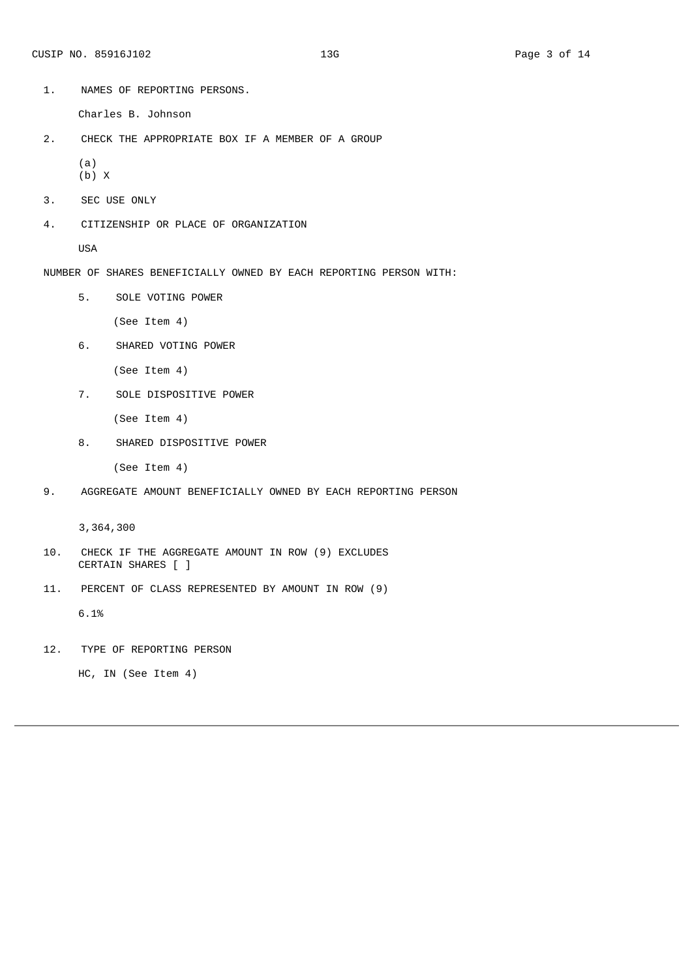Charles B. Johnson

2. CHECK THE APPROPRIATE BOX IF A MEMBER OF A GROUP

(a) (b) X

- 3. SEC USE ONLY
- 4. CITIZENSHIP OR PLACE OF ORGANIZATION

USA

- NUMBER OF SHARES BENEFICIALLY OWNED BY EACH REPORTING PERSON WITH:
	- 5. SOLE VOTING POWER

(See Item 4)

6. SHARED VOTING POWER

(See Item 4)

7. SOLE DISPOSITIVE POWER

(See Item 4)

8. SHARED DISPOSITIVE POWER

(See Item 4)

9. AGGREGATE AMOUNT BENEFICIALLY OWNED BY EACH REPORTING PERSON

3,364,300

- 10. CHECK IF THE AGGREGATE AMOUNT IN ROW (9) EXCLUDES CERTAIN SHARES [ ]
- 11. PERCENT OF CLASS REPRESENTED BY AMOUNT IN ROW (9)

6.1%

12. TYPE OF REPORTING PERSON

HC, IN (See Item 4)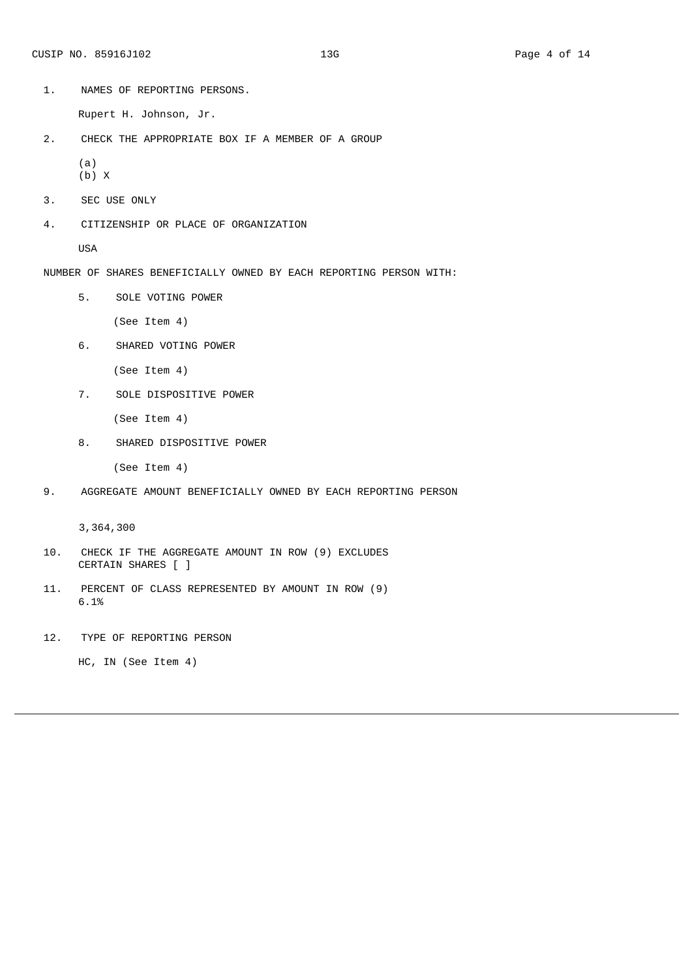Rupert H. Johnson, Jr.

2. CHECK THE APPROPRIATE BOX IF A MEMBER OF A GROUP

(a) (b) X

- 3. SEC USE ONLY
- 4. CITIZENSHIP OR PLACE OF ORGANIZATION

USA

- NUMBER OF SHARES BENEFICIALLY OWNED BY EACH REPORTING PERSON WITH:
	- 5. SOLE VOTING POWER

(See Item 4)

6. SHARED VOTING POWER

(See Item 4)

7. SOLE DISPOSITIVE POWER

(See Item 4)

8. SHARED DISPOSITIVE POWER

(See Item 4)

9. AGGREGATE AMOUNT BENEFICIALLY OWNED BY EACH REPORTING PERSON

3,364,300

- 10. CHECK IF THE AGGREGATE AMOUNT IN ROW (9) EXCLUDES CERTAIN SHARES [ ]
- 11. PERCENT OF CLASS REPRESENTED BY AMOUNT IN ROW (9) 6.1%

12. TYPE OF REPORTING PERSON

HC, IN (See Item 4)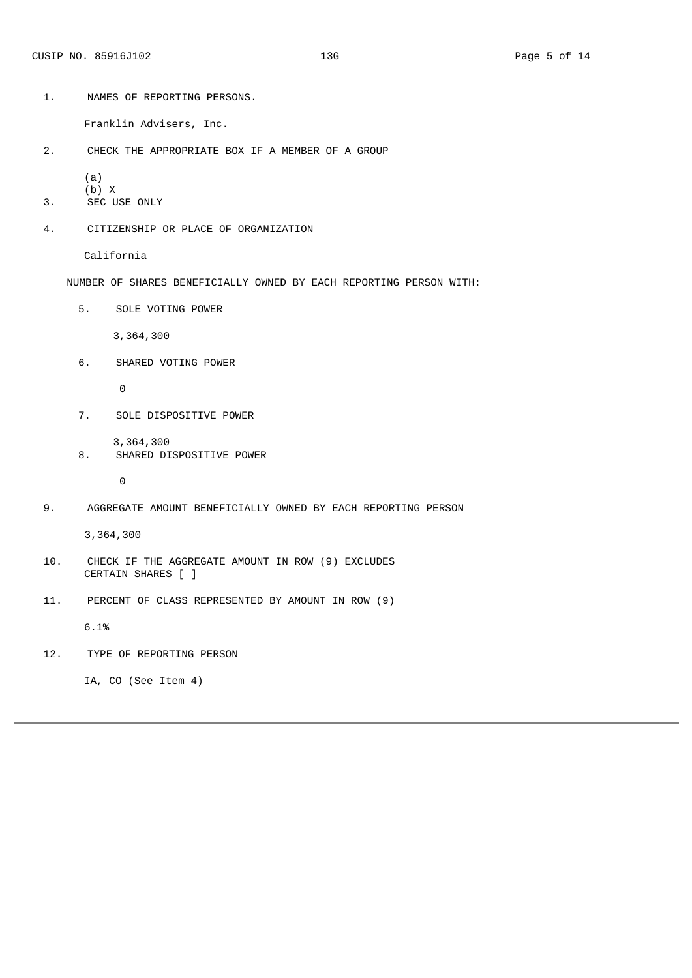Franklin Advisers, Inc.

2. CHECK THE APPROPRIATE BOX IF A MEMBER OF A GROUP

(a)

- (b) X
- 3. SEC USE ONLY
- 4. CITIZENSHIP OR PLACE OF ORGANIZATION

California

- NUMBER OF SHARES BENEFICIALLY OWNED BY EACH REPORTING PERSON WITH:
	- 5. SOLE VOTING POWER

3,364,300

6. SHARED VOTING POWER

 $\Theta$ 

7. SOLE DISPOSITIVE POWER

3,364,300

8. SHARED DISPOSITIVE POWER

 $\Theta$ 

9. AGGREGATE AMOUNT BENEFICIALLY OWNED BY EACH REPORTING PERSON

3,364,300

- 10. CHECK IF THE AGGREGATE AMOUNT IN ROW (9) EXCLUDES CERTAIN SHARES [ ]
- 11. PERCENT OF CLASS REPRESENTED BY AMOUNT IN ROW (9)

6.1%

12. TYPE OF REPORTING PERSON

IA, CO (See Item 4)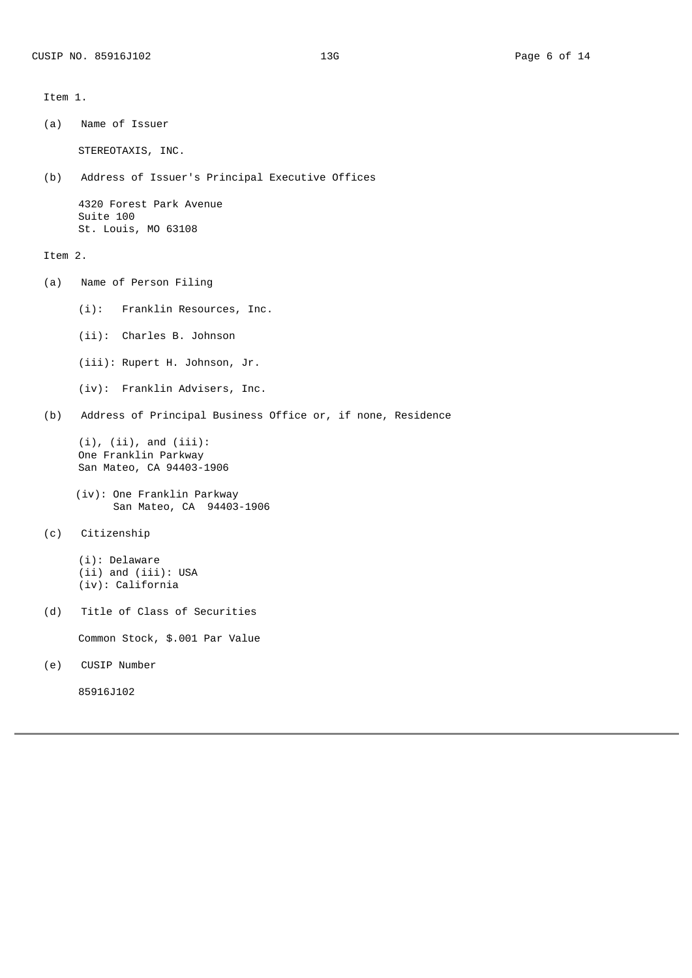Item 1.

(a) Name of Issuer STEREOTAXIS, INC. (b) Address of Issuer's Principal Executive Offices 4320 Forest Park Avenue Suite 100 St. Louis, MO 63108 Item 2. (a) Name of Person Filing (i): Franklin Resources, Inc. (ii): Charles B. Johnson (iii): Rupert H. Johnson, Jr. (iv): Franklin Advisers, Inc. (b) Address of Principal Business Office or, if none, Residence  $(i)$ ,  $(ii)$ , and  $(iii)$ : One Franklin Parkway San Mateo, CA 94403‑1906 (iv): One Franklin Parkway San Mateo, CA 94403-1906 (c) Citizenship

(i): Delaware (ii) and (iii): USA (iv): California

(d) Title of Class of Securities

Common Stock, \$.001 Par Value

(e) CUSIP Number

85916J102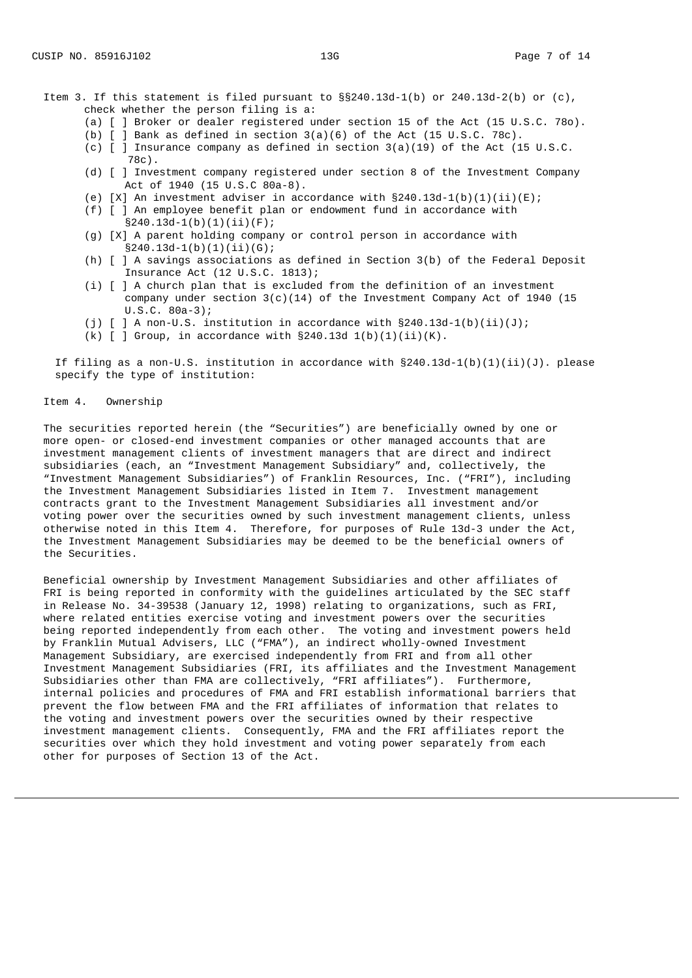- Item 3. If this statement is filed pursuant to  $\S240.13d-1(b)$  or 240.13d-2(b) or (c), check whether the person filing is a:
	- (a) [ ] Broker or dealer registered under section 15 of the Act (15 U.S.C. 78o).
	- (b)  $\lceil$  ] Bank as defined in section 3(a)(6) of the Act (15 U.S.C. 78c).
	- (c)  $\begin{bmatrix} 1 \\ 1 \end{bmatrix}$  Insurance company as defined in section 3(a)(19) of the Act (15 U.S.C. 78c).
	- (d) [ ] Investment company registered under section 8 of the Investment Company Act of 1940 (15 U.S.C 80a-8).
	- (e)  $[X]$  An investment adviser in accordance with  $\S240.13d-1(b)(1)(ii)(E)$ ;
	- (f) [ ] An employee benefit plan or endowment fund in accordance with  $\S$ 240.13d-1(b)(1)(ii)(F);
	- (g) [X] A parent holding company or control person in accordance with §240.13d-1(b)(1)(ii)(G);
	- (h) [ ] A savings associations as defined in Section 3(b) of the Federal Deposit Insurance Act (12 U.S.C. 1813);
	- (i) [ ] A church plan that is excluded from the definition of an investment company under section  $3(c)(14)$  of the Investment Company Act of 1940 (15 U.S.C. 80a‑3);
	- (j)  $\lceil$  ] A non-U.S. institution in accordance with §240.13d-1(b)(ii)(J);
	- (k)  $\lceil$   $\rceil$  Group, in accordance with §240.13d 1(b)(1)(ii)(K).

If filing as a non-U.S. institution in accordance with  $\S240.13d-1(b)(1)(ii)(J)$ . please specify the type of institution:

### Item 4. Ownership

The securities reported herein (the "Securities") are beneficially owned by one or more open- or closed-end investment companies or other managed accounts that are investment management clients of investment managers that are direct and indirect subsidiaries (each, an "Investment Management Subsidiary" and, collectively, the "Investment Management Subsidiaries") of Franklin Resources, Inc. ("FRI"), including the Investment Management Subsidiaries listed in Item 7. Investment management contracts grant to the Investment Management Subsidiaries all investment and/or voting power over the securities owned by such investment management clients, unless otherwise noted in this Item 4. Therefore, for purposes of Rule 13d-3 under the Act, the Investment Management Subsidiaries may be deemed to be the beneficial owners of the Securities.

Beneficial ownership by Investment Management Subsidiaries and other affiliates of FRI is being reported in conformity with the guidelines articulated by the SEC staff in Release No. 34‑39538 (January 12, 1998) relating to organizations, such as FRI, where related entities exercise voting and investment powers over the securities being reported independently from each other. The voting and investment powers held by Franklin Mutual Advisers, LLC ("FMA"), an indirect wholly-owned Investment Management Subsidiary, are exercised independently from FRI and from all other Investment Management Subsidiaries (FRI, its affiliates and the Investment Management Subsidiaries other than FMA are collectively, "FRI affiliates"). Furthermore, internal policies and procedures of FMA and FRI establish informational barriers that prevent the flow between FMA and the FRI affiliates of information that relates to the voting and investment powers over the securities owned by their respective investment management clients. Consequently, FMA and the FRI affiliates report the securities over which they hold investment and voting power separately from each other for purposes of Section 13 of the Act.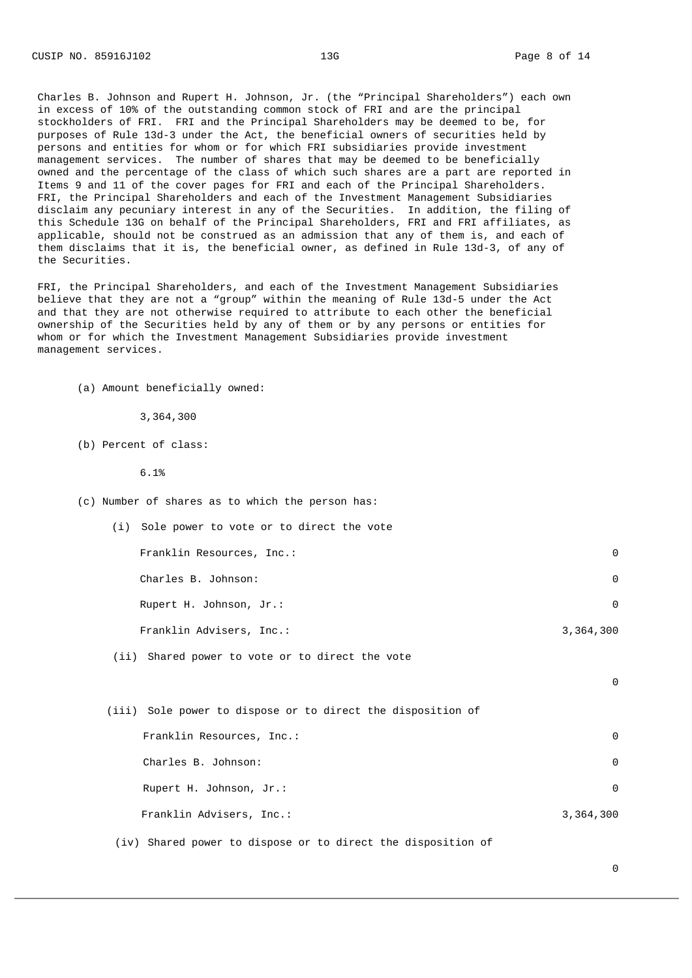Charles B. Johnson and Rupert H. Johnson, Jr. (the "Principal Shareholders") each own in excess of 10% of the outstanding common stock of FRI and are the principal stockholders of FRI. FRI and the Principal Shareholders may be deemed to be, for purposes of Rule 13d-3 under the Act, the beneficial owners of securities held by persons and entities for whom or for which FRI subsidiaries provide investment management services. The number of shares that may be deemed to be beneficially owned and the percentage of the class of which such shares are a part are reported in Items 9 and 11 of the cover pages for FRI and each of the Principal Shareholders. FRI, the Principal Shareholders and each of the Investment Management Subsidiaries disclaim any pecuniary interest in any of the Securities. In addition, the filing of this Schedule 13G on behalf of the Principal Shareholders, FRI and FRI affiliates, as applicable, should not be construed as an admission that any of them is, and each of them disclaims that it is, the beneficial owner, as defined in Rule 13d-3, of any of the Securities.

FRI, the Principal Shareholders, and each of the Investment Management Subsidiaries believe that they are not a "group" within the meaning of Rule 13d-5 under the Act and that they are not otherwise required to attribute to each other the beneficial ownership of the Securities held by any of them or by any persons or entities for whom or for which the Investment Management Subsidiaries provide investment management services.

(a) Amount beneficially owned:

3,364,300

(b) Percent of class:

6.1%

- (c) Number of shares as to which the person has:
	- (i) Sole power to vote or to direct the vote Franklin Resources, Inc.: 0 Charles B. Johnson: 0 Rupert H. Johnson, Jr.: 0 Franklin Advisers, Inc.: 3,364,300 (ii) Shared power to vote or to direct the vote
	- (iii) Sole power to dispose or to direct the disposition of Franklin Resources, Inc.: 0 Charles B. Johnson: 0 Rupert H. Johnson, Jr.: 0 Franklin Advisers, Inc.: 3,364,300

(iv) Shared power to dispose or to direct the disposition of

 $\boldsymbol{\Theta}$ 

 $\Theta$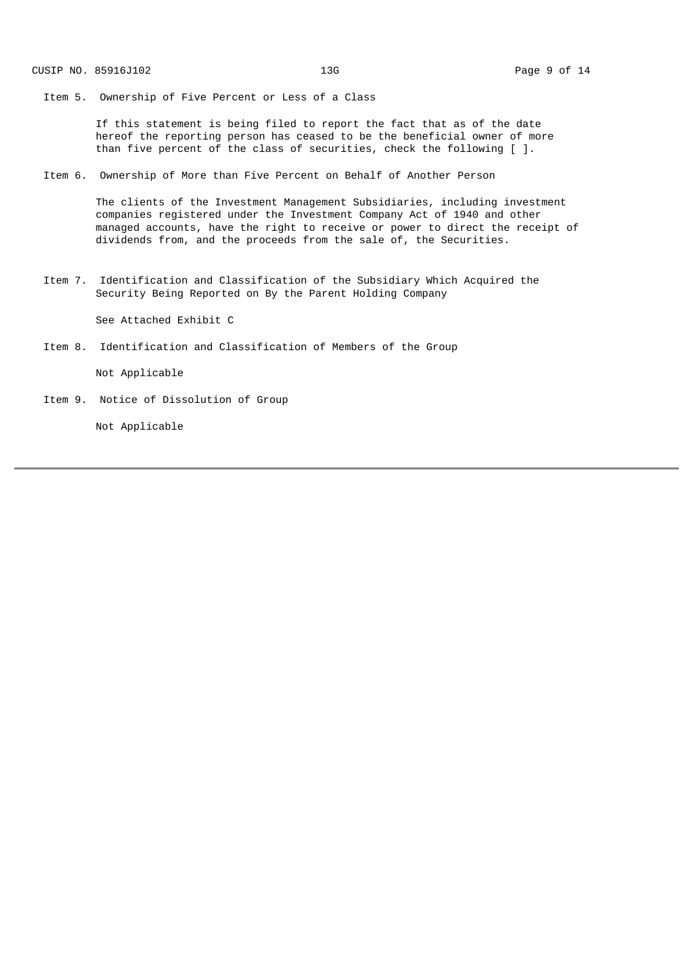Item 5. Ownership of Five Percent or Less of a Class

If this statement is being filed to report the fact that as of the date hereof the reporting person has ceased to be the beneficial owner of more than five percent of the class of securities, check the following [ ].

Item 6. Ownership of More than Five Percent on Behalf of Another Person

The clients of the Investment Management Subsidiaries, including investment companies registered under the Investment Company Act of 1940 and other managed accounts, have the right to receive or power to direct the receipt of dividends from, and the proceeds from the sale of, the Securities.

Item 7. Identification and Classification of the Subsidiary Which Acquired the Security Being Reported on By the Parent Holding Company

See Attached Exhibit C

Item 8. Identification and Classification of Members of the Group

Not Applicable

Item 9. Notice of Dissolution of Group

Not Applicable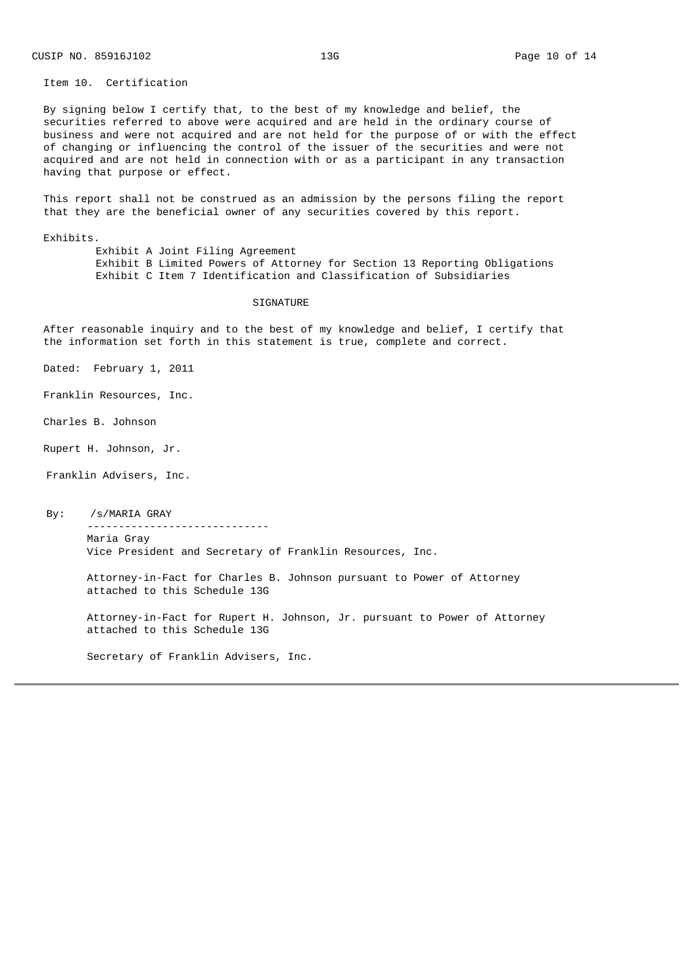Item 10. Certification

By signing below I certify that, to the best of my knowledge and belief, the securities referred to above were acquired and are held in the ordinary course of business and were not acquired and are not held for the purpose of or with the effect of changing or influencing the control of the issuer of the securities and were not acquired and are not held in connection with or as a participant in any transaction having that purpose or effect.

This report shall not be construed as an admission by the persons filing the report that they are the beneficial owner of any securities covered by this report.

Exhibits.

Exhibit A Joint Filing Agreement Exhibit B Limited Powers of Attorney for Section 13 Reporting Obligations Exhibit C Item 7 Identification and Classification of Subsidiaries

#### SIGNATURE

After reasonable inquiry and to the best of my knowledge and belief, I certify that the information set forth in this statement is true, complete and correct.

Dated: February 1, 2011

Franklin Resources, Inc.

Charles B. Johnson

Rupert H. Johnson, Jr.

Franklin Advisers, Inc.

By: /s/MARIA GRAY

‑‑‑‑‑‑‑‑‑‑‑‑‑‑‑‑‑‑‑‑‑‑‑‑‑‑‑‑‑ Maria Gray Vice President and Secretary of Franklin Resources, Inc.

Attorney-in-Fact for Charles B. Johnson pursuant to Power of Attorney attached to this Schedule 13G

Attorney‑in‑Fact for Rupert H. Johnson, Jr. pursuant to Power of Attorney attached to this Schedule 13G

Secretary of Franklin Advisers, Inc.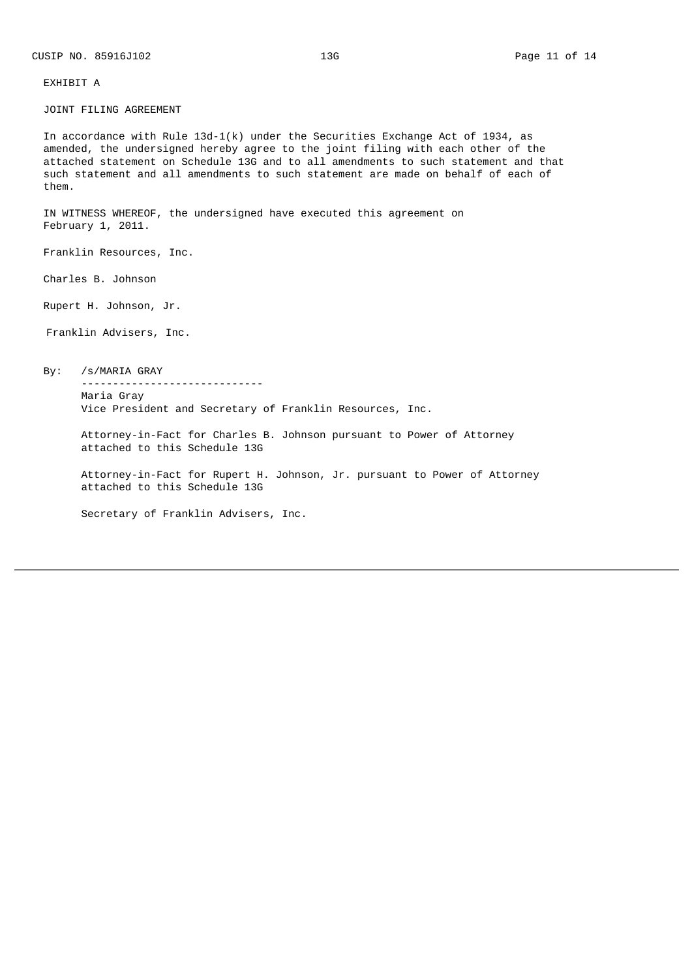# EXHIBIT A

JOINT FILING AGREEMENT

In accordance with Rule  $13d-1(k)$  under the Securities Exchange Act of 1934, as amended, the undersigned hereby agree to the joint filing with each other of the attached statement on Schedule 13G and to all amendments to such statement and that such statement and all amendments to such statement are made on behalf of each of them.

IN WITNESS WHEREOF, the undersigned have executed this agreement on February 1, 2011.

Franklin Resources, Inc.

Charles B. Johnson

Rupert H. Johnson, Jr.

Franklin Advisers, Inc.

By: /s/MARIA GRAY

Maria Gray Vice President and Secretary of Franklin Resources, Inc.

Attorney‑in‑Fact for Charles B. Johnson pursuant to Power of Attorney attached to this Schedule 13G

Attorney‑in‑Fact for Rupert H. Johnson, Jr. pursuant to Power of Attorney attached to this Schedule 13G

Secretary of Franklin Advisers, Inc.

‑‑‑‑‑‑‑‑‑‑‑‑‑‑‑‑‑‑‑‑‑‑‑‑‑‑‑‑‑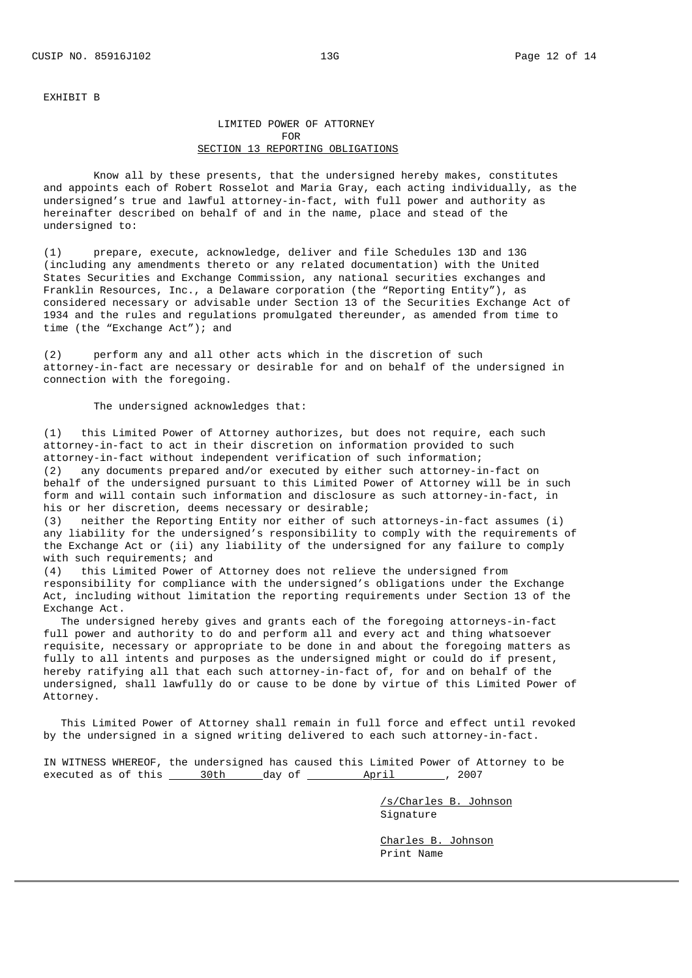#### EXHIBIT B

# LIMITED POWER OF ATTORNEY FOR SECTION 13 REPORTING OBLIGATIONS

Know all by these presents, that the undersigned hereby makes, constitutes and appoints each of Robert Rosselot and Maria Gray, each acting individually, as the undersigned's true and lawful attorney-in-fact, with full power and authority as hereinafter described on behalf of and in the name, place and stead of the undersigned to:

(1) prepare, execute, acknowledge, deliver and file Schedules 13D and 13G (including any amendments thereto or any related documentation) with the United States Securities and Exchange Commission, any national securities exchanges and Franklin Resources, Inc., a Delaware corporation (the "Reporting Entity"), as considered necessary or advisable under Section 13 of the Securities Exchange Act of 1934 and the rules and regulations promulgated thereunder, as amended from time to time (the "Exchange Act"); and

(2) perform any and all other acts which in the discretion of such attorney‑in‑fact are necessary or desirable for and on behalf of the undersigned in connection with the foregoing.

The undersigned acknowledges that:

(1) this Limited Power of Attorney authorizes, but does not require, each such attorney‑in‑fact to act in their discretion on information provided to such attorney-in-fact without independent verification of such information; (2) any documents prepared and/or executed by either such attorney-in-fact on behalf of the undersigned pursuant to this Limited Power of Attorney will be in such form and will contain such information and disclosure as such attorney-in-fact, in his or her discretion, deems necessary or desirable;

(3) neither the Reporting Entity nor either of such attorneys-in-fact assumes (i) any liability for the undersigned's responsibility to comply with the requirements of the Exchange Act or (ii) any liability of the undersigned for any failure to comply with such requirements; and<br>(4) this Limited Power of

this Limited Power of Attorney does not relieve the undersigned from responsibility for compliance with the undersigned's obligations under the Exchange Act, including without limitation the reporting requirements under Section 13 of the Exchange Act.

The undersigned hereby gives and grants each of the foregoing attorneys-in-fact full power and authority to do and perform all and every act and thing whatsoever requisite, necessary or appropriate to be done in and about the foregoing matters as fully to all intents and purposes as the undersigned might or could do if present, hereby ratifying all that each such attorney-in-fact of, for and on behalf of the undersigned, shall lawfully do or cause to be done by virtue of this Limited Power of Attorney.

This Limited Power of Attorney shall remain in full force and effect until revoked by the undersigned in a signed writing delivered to each such attorney-in-fact.

IN WITNESS WHEREOF, the undersigned has caused this Limited Power of Attorney to be executed as of this <u>30th day</u> of <u>April , 2007</u>, 2007

> /s/Charles B. Johnson Signature

Charles B. Johnson Print Name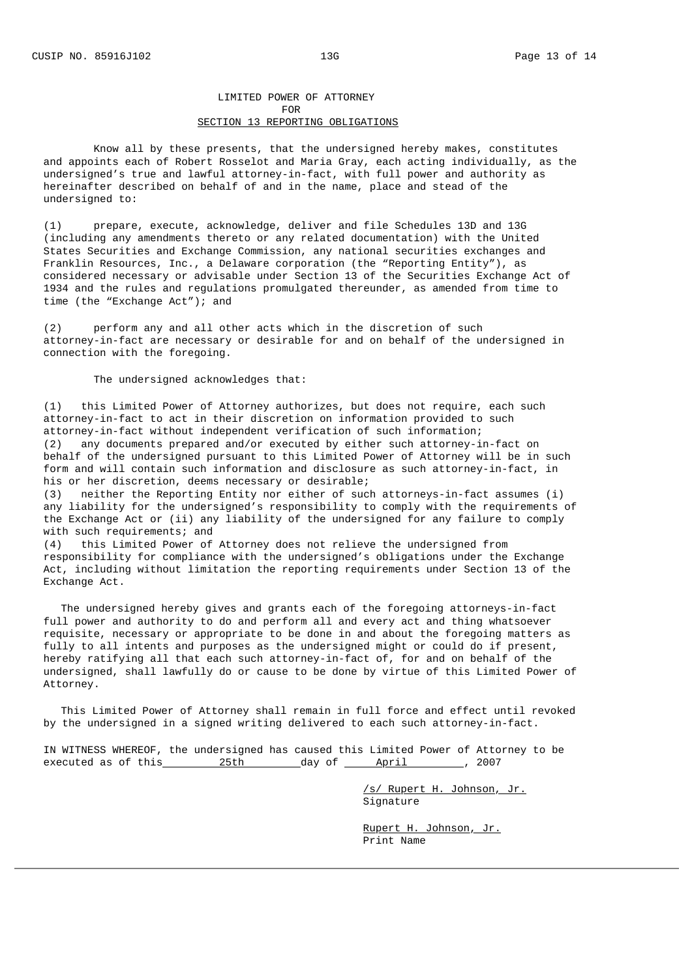Exchange Act.

## LIMITED POWER OF ATTORNEY FOR SECTION 13 REPORTING OBLIGATIONS

Know all by these presents, that the undersigned hereby makes, constitutes and appoints each of Robert Rosselot and Maria Gray, each acting individually, as the undersigned's true and lawful attorney-in-fact, with full power and authority as hereinafter described on behalf of and in the name, place and stead of the undersigned to:

(1) prepare, execute, acknowledge, deliver and file Schedules 13D and 13G (including any amendments thereto or any related documentation) with the United States Securities and Exchange Commission, any national securities exchanges and Franklin Resources, Inc., a Delaware corporation (the "Reporting Entity"), as considered necessary or advisable under Section 13 of the Securities Exchange Act of 1934 and the rules and regulations promulgated thereunder, as amended from time to time (the "Exchange Act"); and

(2) perform any and all other acts which in the discretion of such attorney‑in‑fact are necessary or desirable for and on behalf of the undersigned in connection with the foregoing.

The undersigned acknowledges that:

(1) this Limited Power of Attorney authorizes, but does not require, each such attorney‑in‑fact to act in their discretion on information provided to such attorney-in-fact without independent verification of such information;<br>(2) any documents prepared and/or executed by either such attorney-i any documents prepared and/or executed by either such attorney–in-fact on behalf of the undersigned pursuant to this Limited Power of Attorney will be in such form and will contain such information and disclosure as such attorney-in-fact, in his or her discretion, deems necessary or desirable; (3) neither the Reporting Entity nor either of such attorneys-in-fact assumes (i) any liability for the undersigned's responsibility to comply with the requirements of the Exchange Act or (ii) any liability of the undersigned for any failure to comply with such requirements; and (4) this Limited Power of Attorney does not relieve the undersigned from responsibility for compliance with the undersigned's obligations under the Exchange Act, including without limitation the reporting requirements under Section 13 of the

The undersigned hereby gives and grants each of the foregoing attorneys-in-fact full power and authority to do and perform all and every act and thing whatsoever requisite, necessary or appropriate to be done in and about the foregoing matters as fully to all intents and purposes as the undersigned might or could do if present, hereby ratifying all that each such attorney-in-fact of, for and on behalf of the undersigned, shall lawfully do or cause to be done by virtue of this Limited Power of Attorney.

This Limited Power of Attorney shall remain in full force and effect until revoked by the undersigned in a signed writing delivered to each such attorney-in-fact.

IN WITNESS WHEREOF, the undersigned has caused this Limited Power of Attorney to be executed as of this  $25th$  day of April , 2007

> /s/ Rupert H. Johnson, Jr. Signature

Rupert H. Johnson, Jr. Print Name